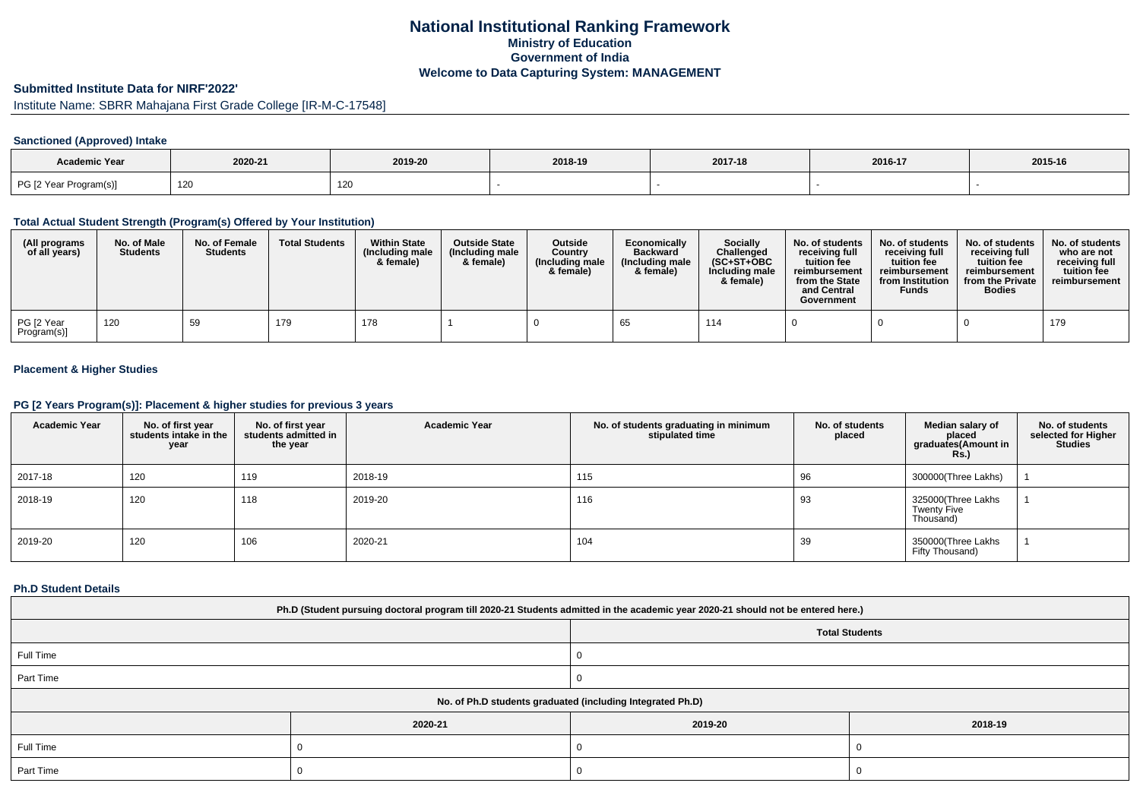# **National Institutional Ranking FrameworkMinistry of Education Government of IndiaWelcome to Data Capturing System: MANAGEMENT**

# **Submitted Institute Data for NIRF'2022'**

# Institute Name: SBRR Mahajana First Grade College [IR-M-C-17548]

## **Sanctioned (Approved) Intake**

| Academic Year          |         |         |         |         |         |         |
|------------------------|---------|---------|---------|---------|---------|---------|
|                        | 2020-21 | 2019-20 | 2018-19 | 2017-18 | 2016-17 | 2015-16 |
| PG [2 Year Program(s)] | 120     | 120     |         |         |         |         |

### **Total Actual Student Strength (Program(s) Offered by Your Institution)**

| (All programs<br>of all years) | No. of Male<br><b>Students</b> | No. of Female<br><b>Students</b> | <b>Total Students</b> | <b>Within State</b><br>(Including male<br>& female) | <b>Outside State</b><br>(Including male<br>& female) | Outside<br>Country<br>(Including male<br>& female) | Economically<br><b>Backward</b><br>(Including male<br>& female) | <b>Socially</b><br>Challenged<br>$(SC+ST+OBC$<br>Including male<br>& female) | No. of students<br>receivina full<br>tuition fee<br>reimbursement<br>from the State<br>and Central<br>Government | No. of students<br>receiving full<br>tuition fee<br>reimbursement<br>from Institution<br><b>Funds</b> | No. of students<br>receiving full<br>tuition fee<br>reimbursement<br>from the Private<br><b>Bodies</b> | No. of students  <br>who are not<br>receivina full<br>tuition fee<br>reimbursement |
|--------------------------------|--------------------------------|----------------------------------|-----------------------|-----------------------------------------------------|------------------------------------------------------|----------------------------------------------------|-----------------------------------------------------------------|------------------------------------------------------------------------------|------------------------------------------------------------------------------------------------------------------|-------------------------------------------------------------------------------------------------------|--------------------------------------------------------------------------------------------------------|------------------------------------------------------------------------------------|
| PG [2 Year<br>Program(s)]      | 120                            | 59                               | 179                   | 178                                                 |                                                      |                                                    |                                                                 | 114                                                                          |                                                                                                                  |                                                                                                       |                                                                                                        | 179                                                                                |

# **Placement & Higher Studies**

## **PG [2 Years Program(s)]: Placement & higher studies for previous 3 years**

| <b>Academic Year</b> | No. of first year<br>students intake in the<br>year | No. of first year<br>students admitted in<br>the year | <b>Academic Year</b> | No. of students graduating in minimum<br>stipulated time | No. of students<br>placed | Median salary of<br>placed<br>graduates(Amount in<br><b>Rs.)</b> | No. of students<br>selected for Higher<br><b>Studies</b> |
|----------------------|-----------------------------------------------------|-------------------------------------------------------|----------------------|----------------------------------------------------------|---------------------------|------------------------------------------------------------------|----------------------------------------------------------|
| 2017-18              | 120                                                 | 119                                                   | 2018-19              | 115                                                      | 96                        | 300000(Three Lakhs)                                              |                                                          |
| 2018-19              | 120                                                 | 118                                                   | 2019-20              | 116                                                      | 93                        | 325000(Three Lakhs<br><b>Twenty Five</b><br>Thousand)            |                                                          |
| 2019-20              | 120                                                 | 106                                                   | 2020-21              | 104                                                      | 39                        | 350000(Three Lakhs<br>Fifty Thousand)                            |                                                          |

### **Ph.D Student Details**

| Ph.D (Student pursuing doctoral program till 2020-21 Students admitted in the academic year 2020-21 should not be entered here.) |                       |         |         |  |  |  |
|----------------------------------------------------------------------------------------------------------------------------------|-----------------------|---------|---------|--|--|--|
|                                                                                                                                  | <b>Total Students</b> |         |         |  |  |  |
| Full Time                                                                                                                        |                       |         |         |  |  |  |
| Part Time                                                                                                                        |                       |         |         |  |  |  |
| No. of Ph.D students graduated (including Integrated Ph.D)                                                                       |                       |         |         |  |  |  |
|                                                                                                                                  | 2020-21               | 2019-20 | 2018-19 |  |  |  |
| Full Time                                                                                                                        |                       |         |         |  |  |  |
| Part Time                                                                                                                        |                       |         |         |  |  |  |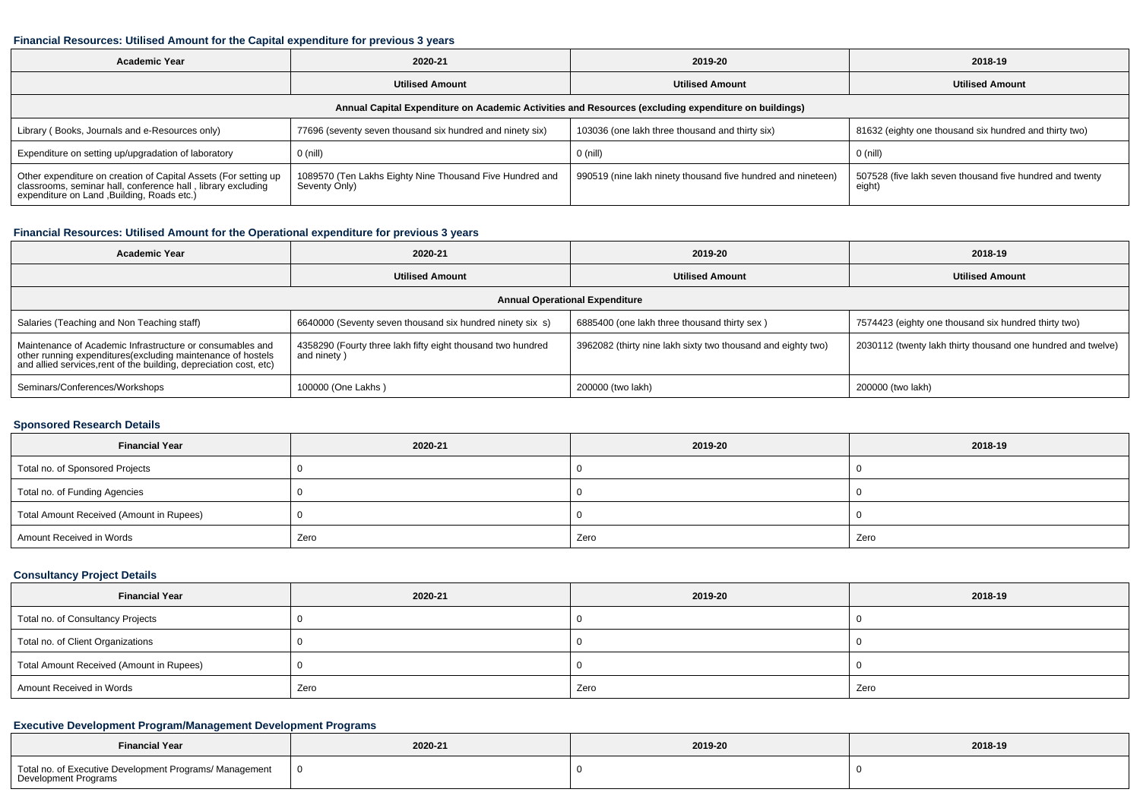#### **Financial Resources: Utilised Amount for the Capital expenditure for previous 3 years**

| Academic Year                                                                                                                                                              | 2020-21                                                                   | 2019-20                                                      | 2018-19                                                            |  |  |  |  |  |
|----------------------------------------------------------------------------------------------------------------------------------------------------------------------------|---------------------------------------------------------------------------|--------------------------------------------------------------|--------------------------------------------------------------------|--|--|--|--|--|
|                                                                                                                                                                            | <b>Utilised Amount</b>                                                    | <b>Utilised Amount</b>                                       | <b>Utilised Amount</b>                                             |  |  |  |  |  |
| Annual Capital Expenditure on Academic Activities and Resources (excluding expenditure on buildings)                                                                       |                                                                           |                                                              |                                                                    |  |  |  |  |  |
| Library (Books, Journals and e-Resources only)                                                                                                                             | 77696 (seventy seven thousand six hundred and ninety six)                 | 103036 (one lakh three thousand and thirty six)              | 81632 (eighty one thousand six hundred and thirty two)             |  |  |  |  |  |
| Expenditure on setting up/upgradation of laboratory                                                                                                                        | 0 (nill)                                                                  | $0$ (nill)                                                   | $0$ (nill)                                                         |  |  |  |  |  |
| Other expenditure on creation of Capital Assets (For setting up classrooms, seminar hall, conference hall, library excluding<br>expenditure on Land ,Building, Roads etc.) | 1089570 (Ten Lakhs Eighty Nine Thousand Five Hundred and<br>Seventy Only) | 990519 (nine lakh ninety thousand five hundred and nineteen) | 507528 (five lakh seven thousand five hundred and twenty<br>eight) |  |  |  |  |  |

## **Financial Resources: Utilised Amount for the Operational expenditure for previous 3 years**

| <b>Academic Year</b>                                                                                                                                                                            | 2020-21                                                                    | 2019-20                                                      | 2018-19                                                      |  |  |  |  |  |
|-------------------------------------------------------------------------------------------------------------------------------------------------------------------------------------------------|----------------------------------------------------------------------------|--------------------------------------------------------------|--------------------------------------------------------------|--|--|--|--|--|
|                                                                                                                                                                                                 | <b>Utilised Amount</b>                                                     | <b>Utilised Amount</b>                                       | <b>Utilised Amount</b>                                       |  |  |  |  |  |
| <b>Annual Operational Expenditure</b>                                                                                                                                                           |                                                                            |                                                              |                                                              |  |  |  |  |  |
| Salaries (Teaching and Non Teaching staff)                                                                                                                                                      | 6640000 (Seventy seven thousand six hundred ninety six s)                  | 6885400 (one lakh three thousand thirty sex)                 | 7574423 (eighty one thousand six hundred thirty two)         |  |  |  |  |  |
| Maintenance of Academic Infrastructure or consumables and<br>other running expenditures (excluding maintenance of hostels<br>and allied services, rent of the building, depreciation cost, etc) | 4358290 (Fourty three lakh fifty eight thousand two hundred<br>and ninety) | 3962082 (thirty nine lakh sixty two thousand and eighty two) | 2030112 (twenty lakh thirty thousand one hundred and twelve) |  |  |  |  |  |
| Seminars/Conferences/Workshops                                                                                                                                                                  | 100000 (One Lakhs)                                                         | 200000 (two lakh)                                            | 200000 (two lakh)                                            |  |  |  |  |  |

## **Sponsored Research Details**

| <b>Financial Year</b>                    | 2020-21 | 2019-20 | 2018-19 |
|------------------------------------------|---------|---------|---------|
| Total no. of Sponsored Projects          |         |         |         |
| Total no. of Funding Agencies            |         |         |         |
| Total Amount Received (Amount in Rupees) |         |         |         |
| Amount Received in Words                 | Zero    | Zero    | Zero    |

# **Consultancy Project Details**

| <b>Financial Year</b>                    | 2020-21 | 2019-20 | 2018-19 |
|------------------------------------------|---------|---------|---------|
| Total no. of Consultancy Projects        |         |         |         |
| Total no. of Client Organizations        |         |         |         |
| Total Amount Received (Amount in Rupees) |         |         |         |
| Amount Received in Words                 | Zero    | Zero    | Zero    |

## **Executive Development Program/Management Development Programs**

| <b>Financial Year</b>                                                                  | 2020-21 | 2019-20 | 2018-19 |
|----------------------------------------------------------------------------------------|---------|---------|---------|
| Total no. of Executive Development Programs/ Management<br><b>Development Programs</b> |         |         |         |